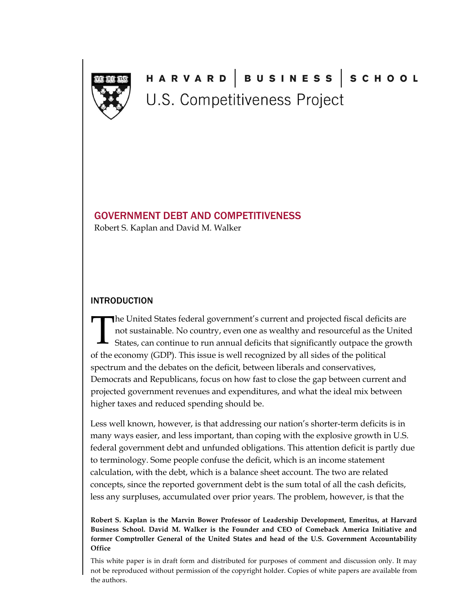

# HARVARD |BUSINESS |SCHOOL U.S. Competitiveness Project

### GOVERNMENT DEBT AND COMPETITIVENESS

Robert S. Kaplan and David M. Walker

### INTRODUCTION

The United States federal government's current and projected fiscal deficits are not sustainable. No country, even one as wealthy and resourceful as the United States, can continue to run annual deficits that significantly outpace the growth of the economy (GDP). This issue is well recognized by all sides of the political spectrum and the debates on the deficit, between liberals and conservatives, Democrats and Republicans, focus on how fast to close the gap between current and projected government revenues and expenditures, and what the ideal mix between higher taxes and reduced spending should be.  $\prod$ 

Less well known, however, is that addressing our nation's shorter-term deficits is in many ways easier, and less important, than coping with the explosive growth in U.S. federal government debt and unfunded obligations. This attention deficit is partly due to terminology. Some people confuse the deficit, which is an income statement calculation, with the debt, which is a balance sheet account. The two are related concepts, since the reported government debt is the sum total of all the cash deficits, less any surpluses, accumulated over prior years. The problem, however, is that the

**Robert S. Kaplan is the Marvin Bower Professor of Leadership Development, Emeritus, at Harvard Business School. David M. Walker is the Founder and CEO of Comeback America Initiative and former Comptroller General of the United States and head of the U.S. Government Accountability Office**

This white paper is in draft form and distributed for purposes of comment and discussion only. It may not be reproduced without permission of the copyright holder. Copies of white papers are available from the authors.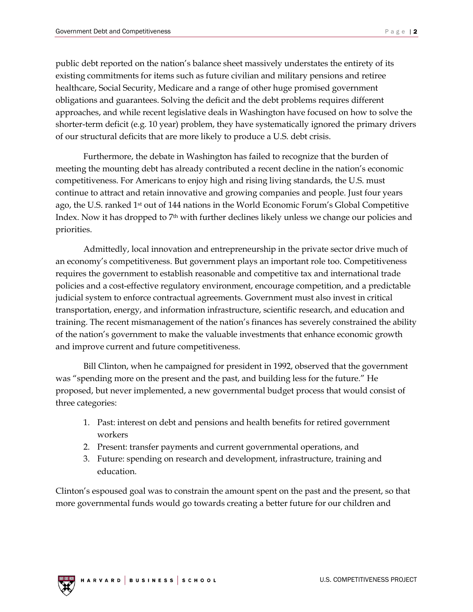public debt reported on the nation's balance sheet massively understates the entirety of its existing commitments for items such as future civilian and military pensions and retiree healthcare, Social Security, Medicare and a range of other huge promised government obligations and guarantees. Solving the deficit and the debt problems requires different approaches, and while recent legislative deals in Washington have focused on how to solve the shorter-term deficit (e.g. 10 year) problem, they have systematically ignored the primary drivers of our structural deficits that are more likely to produce a U.S. debt crisis.

Furthermore, the debate in Washington has failed to recognize that the burden of meeting the mounting debt has already contributed a recent decline in the nation's economic competitiveness. For Americans to enjoy high and rising living standards, the U.S. must continue to attract and retain innovative and growing companies and people. Just four years ago, the U.S. ranked 1st out of 144 nations in the World Economic Forum's Global Competitive Index. Now it has dropped to  $7<sup>th</sup>$  with further declines likely unless we change our policies and priorities.

Admittedly, local innovation and entrepreneurship in the private sector drive much of an economy's competitiveness. But government plays an important role too. Competitiveness requires the government to establish reasonable and competitive tax and international trade policies and a cost-effective regulatory environment, encourage competition, and a predictable judicial system to enforce contractual agreements. Government must also invest in critical transportation, energy, and information infrastructure, scientific research, and education and training. The recent mismanagement of the nation's finances has severely constrained the ability of the nation's government to make the valuable investments that enhance economic growth and improve current and future competitiveness.

Bill Clinton, when he campaigned for president in 1992, observed that the government was "spending more on the present and the past, and building less for the future." He proposed, but never implemented, a new governmental budget process that would consist of three categories:

- 1. Past: interest on debt and pensions and health benefits for retired government workers
- 2. Present: transfer payments and current governmental operations, and
- 3. Future: spending on research and development, infrastructure, training and education.

Clinton's espoused goal was to constrain the amount spent on the past and the present, so that more governmental funds would go towards creating a better future for our children and

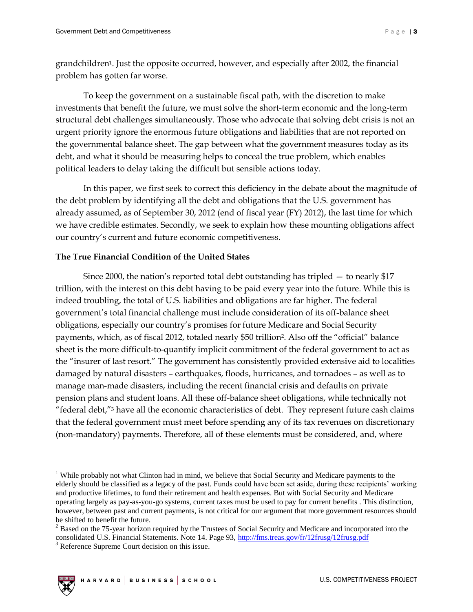grandchildren1. Just the opposite occurred, however, and especially after 2002, the financial problem has gotten far worse.

To keep the government on a sustainable fiscal path, with the discretion to make investments that benefit the future, we must solve the short-term economic and the long-term structural debt challenges simultaneously. Those who advocate that solving debt crisis is not an urgent priority ignore the enormous future obligations and liabilities that are not reported on the governmental balance sheet. The gap between what the government measures today as its debt, and what it should be measuring helps to conceal the true problem, which enables political leaders to delay taking the difficult but sensible actions today.

In this paper, we first seek to correct this deficiency in the debate about the magnitude of the debt problem by identifying all the debt and obligations that the U.S. government has already assumed, as of September 30, 2012 (end of fiscal year (FY) 2012), the last time for which we have credible estimates. Secondly, we seek to explain how these mounting obligations affect our country's current and future economic competitiveness.

#### **The True Financial Condition of the United States**

Since 2000, the nation's reported total debt outstanding has tripled — to nearly \$17 trillion, with the interest on this debt having to be paid every year into the future. While this is indeed troubling, the total of U.S. liabilities and obligations are far higher. The federal government's total financial challenge must include consideration of its off-balance sheet obligations, especially our country's promises for future Medicare and Social Security payments, which, as of fiscal 2012, totaled nearly \$50 trillion2. Also off the "official" balance sheet is the more difficult-to-quantify implicit commitment of the federal government to act as the "insurer of last resort." The government has consistently provided extensive aid to localities damaged by natural disasters – earthquakes, floods, hurricanes, and tornadoes – as well as to manage man-made disasters, including the recent financial crisis and defaults on private pension plans and student loans. All these off-balance sheet obligations, while technically not "federal debt,"<sup>3</sup> have all the economic characteristics of debt. They represent future cash claims that the federal government must meet before spending any of its tax revenues on discretionary (non-mandatory) payments. Therefore, all of these elements must be considered, and, where

<sup>&</sup>lt;sup>3</sup> Reference Supreme Court decision on this issue.



<sup>&</sup>lt;sup>1</sup> While probably not what Clinton had in mind, we believe that Social Security and Medicare payments to the elderly should be classified as a legacy of the past. Funds could have been set aside, during these recipients' working and productive lifetimes, to fund their retirement and health expenses. But with Social Security and Medicare operating largely as pay-as-you-go systems, current taxes must be used to pay for current benefits . This distinction, however, between past and current payments, is not critical for our argument that more government resources should be shifted to benefit the future.

<sup>&</sup>lt;sup>2</sup> Based on the 75-year horizon required by the Trustees of Social Security and Medicare and incorporated into the consolidated U.S. Financial Statements. Note 14. Page 93,<http://fms.treas.gov/fr/12frusg/12frusg.pdf>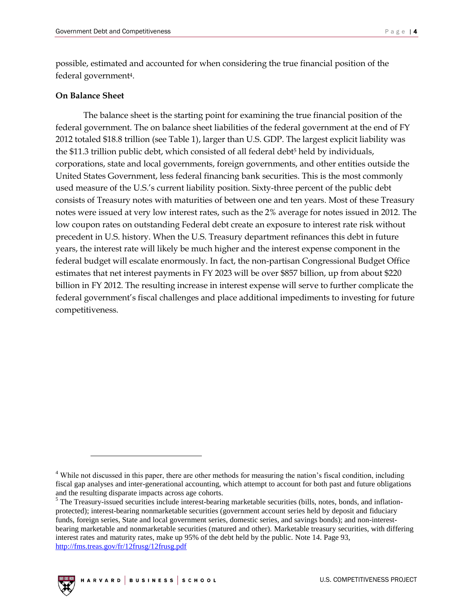possible, estimated and accounted for when considering the true financial position of the federal government4.

#### **On Balance Sheet**

The balance sheet is the starting point for examining the true financial position of the federal government. The on balance sheet liabilities of the federal government at the end of FY 2012 totaled \$18.8 trillion (see Table 1), larger than U.S. GDP. The largest explicit liability was the \$11.3 trillion public debt, which consisted of all federal debt<sup>5</sup> held by individuals, corporations, state and local governments, foreign governments, and other entities outside the United States Government, less federal financing bank securities. This is the most commonly used measure of the U.S.'s current liability position. Sixty-three percent of the public debt consists of Treasury notes with maturities of between one and ten years. Most of these Treasury notes were issued at very low interest rates, such as the 2% average for notes issued in 2012. The low coupon rates on outstanding Federal debt create an exposure to interest rate risk without precedent in U.S. history. When the U.S. Treasury department refinances this debt in future years, the interest rate will likely be much higher and the interest expense component in the federal budget will escalate enormously. In fact, the non-partisan Congressional Budget Office estimates that net interest payments in FY 2023 will be over \$857 billion, up from about \$220 billion in FY 2012. The resulting increase in interest expense will serve to further complicate the federal government's fiscal challenges and place additional impediments to investing for future competitiveness.

<sup>&</sup>lt;sup>5</sup> The Treasury-issued securities include interest-bearing marketable securities (bills, notes, bonds, and inflationprotected); interest-bearing nonmarketable securities (government account series held by deposit and fiduciary funds, foreign series, State and local government series, domestic series, and savings bonds); and non-interestbearing marketable and nonmarketable securities (matured and other). Marketable treasury securities, with differing interest rates and maturity rates, make up 95% of the debt held by the public. Note 14. Page 93, <http://fms.treas.gov/fr/12frusg/12frusg.pdf>



<sup>4</sup> While not discussed in this paper, there are other methods for measuring the nation's fiscal condition, including fiscal gap analyses and inter-generational accounting, which attempt to account for both past and future obligations and the resulting disparate impacts across age cohorts.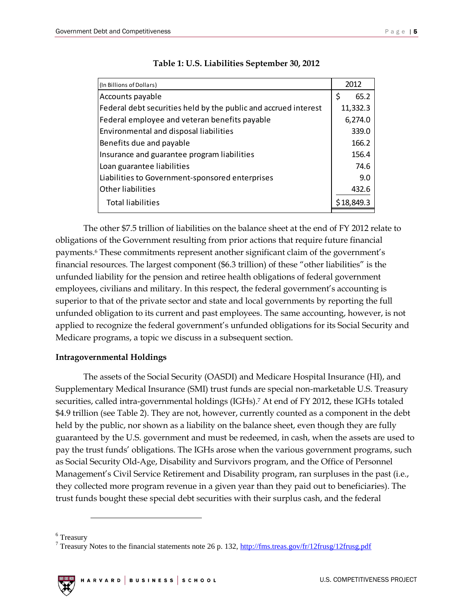| (In Billions of Dollars)                                        | 2012       |
|-----------------------------------------------------------------|------------|
| Accounts payable                                                | \$<br>65.2 |
| Federal debt securities held by the public and accrued interest | 11,332.3   |
| Federal employee and veteran benefits payable                   | 6,274.0    |
| <b>Environmental and disposal liabilities</b>                   | 339.0      |
| Benefits due and payable                                        | 166.2      |
| Insurance and guarantee program liabilities                     | 156.4      |
| Loan guarantee liabilities                                      | 74.6       |
| Liabilities to Government-sponsored enterprises                 | 9.0        |
| Other liabilities                                               | 432.6      |
| <b>Total liabilities</b>                                        | \$18,849.3 |
|                                                                 |            |

#### **Table 1: U.S. Liabilities September 30, 2012**

The other \$7.5 trillion of liabilities on the balance sheet at the end of FY 2012 relate to obligations of the Government resulting from prior actions that require future financial payments.<sup>6</sup> These commitments represent another significant claim of the government's financial resources. The largest component (\$6.3 trillion) of these "other liabilities" is the unfunded liability for the pension and retiree health obligations of federal government employees, civilians and military. In this respect, the federal government's accounting is superior to that of the private sector and state and local governments by reporting the full unfunded obligation to its current and past employees. The same accounting, however, is not applied to recognize the federal government's unfunded obligations for its Social Security and Medicare programs, a topic we discuss in a subsequent section.

#### **Intragovernmental Holdings**

The assets of the Social Security (OASDI) and Medicare Hospital Insurance (HI), and Supplementary Medical Insurance (SMI) trust funds are special non-marketable U.S. Treasury securities, called intra-governmental holdings (IGHs). <sup>7</sup> At end of FY 2012, these IGHs totaled \$4.9 trillion (see Table 2). They are not, however, currently counted as a component in the debt held by the public, nor shown as a liability on the balance sheet, even though they are fully guaranteed by the U.S. government and must be redeemed, in cash, when the assets are used to pay the trust funds' obligations. The IGHs arose when the various government programs, such as Social Security Old-Age, Disability and Survivors program, and the Office of Personnel Management's Civil Service Retirement and Disability program, ran surpluses in the past (i.e., they collected more program revenue in a given year than they paid out to beneficiaries). The trust funds bought these special debt securities with their surplus cash, and the federal

<sup>6</sup> Treasury

<sup>&</sup>lt;sup>7</sup> Treasury Notes to the financial statements note 26 p. 132,<http://fms.treas.gov/fr/12frusg/12frusg.pdf>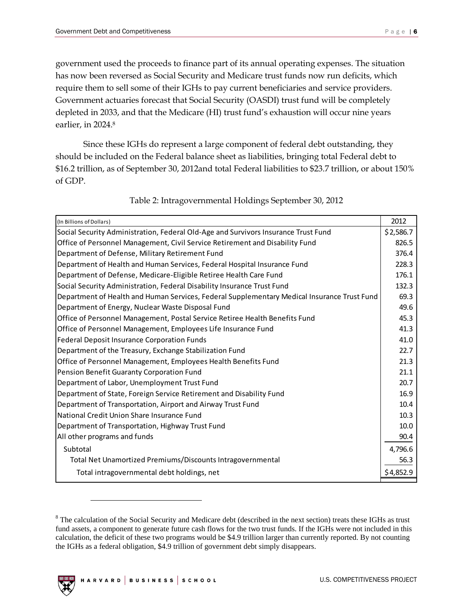government used the proceeds to finance part of its annual operating expenses. The situation has now been reversed as Social Security and Medicare trust funds now run deficits, which require them to sell some of their IGHs to pay current beneficiaries and service providers. Government actuaries forecast that Social Security (OASDI) trust fund will be completely depleted in 2033, and that the Medicare (HI) trust fund's exhaustion will occur nine years earlier, in 2024.<sup>8</sup>

Since these IGHs do represent a large component of federal debt outstanding, they should be included on the Federal balance sheet as liabilities, bringing total Federal debt to \$16.2 trillion, as of September 30, 2012and total Federal liabilities to \$23.7 trillion, or about 150% of GDP.

| (In Billions of Dollars)                                                                    | 2012      |
|---------------------------------------------------------------------------------------------|-----------|
| Social Security Administration, Federal Old-Age and Survivors Insurance Trust Fund          | \$2,586.7 |
| Office of Personnel Management, Civil Service Retirement and Disability Fund                | 826.5     |
| Department of Defense, Military Retirement Fund                                             | 376.4     |
| Department of Health and Human Services, Federal Hospital Insurance Fund                    | 228.3     |
| Department of Defense, Medicare-Eligible Retiree Health Care Fund                           | 176.1     |
| Social Security Administration, Federal Disability Insurance Trust Fund                     | 132.3     |
| Department of Health and Human Services, Federal Supplementary Medical Insurance Trust Fund | 69.3      |
| Department of Energy, Nuclear Waste Disposal Fund                                           | 49.6      |
| Office of Personnel Management, Postal Service Retiree Health Benefits Fund                 | 45.3      |
| Office of Personnel Management, Employees Life Insurance Fund                               | 41.3      |
| Federal Deposit Insurance Corporation Funds                                                 | 41.0      |
| Department of the Treasury, Exchange Stabilization Fund                                     | 22.7      |
| Office of Personnel Management, Employees Health Benefits Fund                              | 21.3      |
| Pension Benefit Guaranty Corporation Fund                                                   | 21.1      |
| Department of Labor, Unemployment Trust Fund                                                | 20.7      |
| Department of State, Foreign Service Retirement and Disability Fund                         | 16.9      |
| Department of Transportation, Airport and Airway Trust Fund                                 | 10.4      |
| National Credit Union Share Insurance Fund                                                  | 10.3      |
| Department of Transportation, Highway Trust Fund                                            | 10.0      |
| All other programs and funds                                                                | 90.4      |
| Subtotal                                                                                    | 4,796.6   |
| Total Net Unamortized Premiums/Discounts Intragovernmental                                  | 56.3      |
| Total intragovernmental debt holdings, net                                                  | \$4,852.9 |

Table 2: Intragovernmental Holdings September 30, 2012

<sup>&</sup>lt;sup>8</sup> The calculation of the Social Security and Medicare debt (described in the next section) treats these IGHs as trust fund assets, a component to generate future cash flows for the two trust funds. If the IGHs were not included in this calculation, the deficit of these two programs would be \$4.9 trillion larger than currently reported. By not counting the IGHs as a federal obligation, \$4.9 trillion of government debt simply disappears.

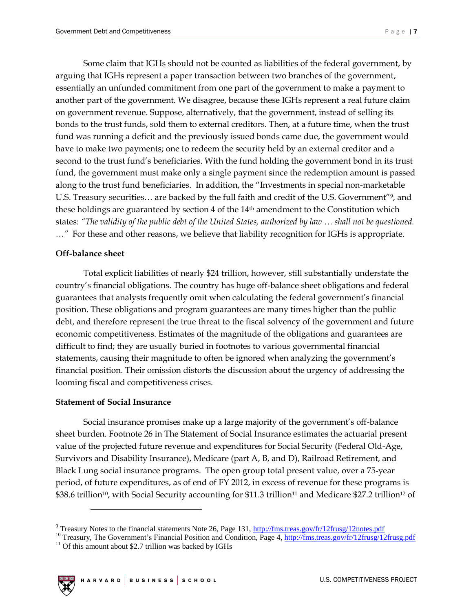Some claim that IGHs should not be counted as liabilities of the federal government, by arguing that IGHs represent a paper transaction between two branches of the government, essentially an unfunded commitment from one part of the government to make a payment to another part of the government. We disagree, because these IGHs represent a real future claim on government revenue. Suppose, alternatively, that the government, instead of selling its bonds to the trust funds, sold them to external creditors. Then, at a future time, when the trust fund was running a deficit and the previously issued bonds came due, the government would have to make two payments; one to redeem the security held by an external creditor and a second to the trust fund's beneficiaries. With the fund holding the government bond in its trust fund, the government must make only a single payment since the redemption amount is passed along to the trust fund beneficiaries. In addition, the "Investments in special non-marketable U.S. Treasury securities… are backed by the full faith and credit of the U.S. Government"9, and these holdings are guaranteed by section 4 of the 14th amendment to the Constitution which states: *"The validity of the public debt of the United States, authorized by law … shall not be questioned. …"* For these and other reasons, we believe that liability recognition for IGHs is appropriate.

#### **Off-balance sheet**

Total explicit liabilities of nearly \$24 trillion, however, still substantially understate the country's financial obligations. The country has huge off-balance sheet obligations and federal guarantees that analysts frequently omit when calculating the federal government's financial position. These obligations and program guarantees are many times higher than the public debt, and therefore represent the true threat to the fiscal solvency of the government and future economic competitiveness. Estimates of the magnitude of the obligations and guarantees are difficult to find; they are usually buried in footnotes to various governmental financial statements, causing their magnitude to often be ignored when analyzing the government's financial position. Their omission distorts the discussion about the urgency of addressing the looming fiscal and competitiveness crises.

#### **Statement of Social Insurance**

Social insurance promises make up a large majority of the government's off-balance sheet burden. Footnote 26 in The Statement of Social Insurance estimates the actuarial present value of the projected future revenue and expenditures for Social Security (Federal Old-Age, Survivors and Disability Insurance), Medicare (part A, B, and D), Railroad Retirement, and Black Lung social insurance programs. The open group total present value, over a 75-year period, of future expenditures, as of end of FY 2012, in excess of revenue for these programs is \$38.6 trillion<sup>10</sup>, with Social Security accounting for \$11.3 trillion<sup>11</sup> and Medicare \$27.2 trillion<sup>12</sup> of

 $11$  Of this amount about \$2.7 trillion was backed by IGHs



<sup>&</sup>lt;sup>9</sup> Treasury Notes to the financial statements Note 26, Page 131[, http://fms.treas.gov/fr/12frusg/12notes.pdf](http://fms.treas.gov/fr/12frusg/12notes.pdf)

<sup>&</sup>lt;sup>10</sup> Treasury, The Government's Financial Position and Condition, Page 4,<http://fms.treas.gov/fr/12frusg/12frusg.pdf>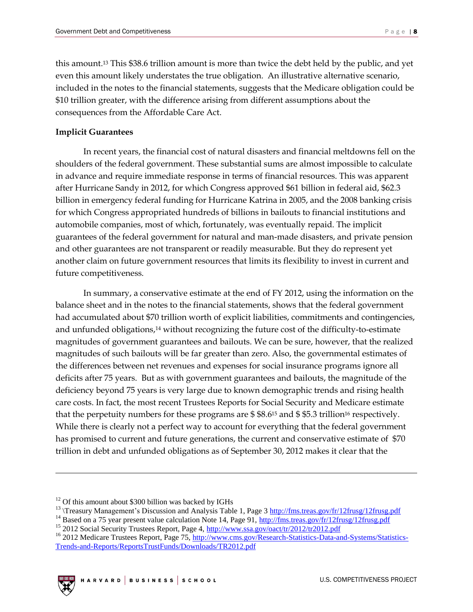this amount.<sup>13</sup> This \$38.6 trillion amount is more than twice the debt held by the public, and yet even this amount likely understates the true obligation. An illustrative alternative scenario, included in the notes to the financial statements, suggests that the Medicare obligation could be \$10 trillion greater, with the difference arising from different assumptions about the consequences from the Affordable Care Act.

#### **Implicit Guarantees**

In recent years, the financial cost of natural disasters and financial meltdowns fell on the shoulders of the federal government. These substantial sums are almost impossible to calculate in advance and require immediate response in terms of financial resources. This was apparent after Hurricane Sandy in 2012, for which Congress approved \$61 billion in federal aid, \$62.3 billion in emergency federal funding for Hurricane Katrina in 2005, and the 2008 banking crisis for which Congress appropriated hundreds of billions in bailouts to financial institutions and automobile companies, most of which, fortunately, was eventually repaid. The implicit guarantees of the federal government for natural and man-made disasters, and private pension and other guarantees are not transparent or readily measurable. But they do represent yet another claim on future government resources that limits its flexibility to invest in current and future competitiveness.

In summary, a conservative estimate at the end of FY 2012, using the information on the balance sheet and in the notes to the financial statements, shows that the federal government had accumulated about \$70 trillion worth of explicit liabilities, commitments and contingencies, and unfunded obligations,<sup>14</sup> without recognizing the future cost of the difficulty-to-estimate magnitudes of government guarantees and bailouts. We can be sure, however, that the realized magnitudes of such bailouts will be far greater than zero. Also, the governmental estimates of the differences between net revenues and expenses for social insurance programs ignore all deficits after 75 years. But as with government guarantees and bailouts, the magnitude of the deficiency beyond 75 years is very large due to known demographic trends and rising health care costs. In fact, the most recent Trustees Reports for Social Security and Medicare estimate that the perpetuity numbers for these programs are  $$8.6^{15}$  and  $$5.3$  trillion<sup>16</sup> respectively. While there is clearly not a perfect way to account for everything that the federal government has promised to current and future generations, the current and conservative estimate of \$70 trillion in debt and unfunded obligations as of September 30, 2012 makes it clear that the

<sup>&</sup>lt;sup>16</sup> 2012 Medicare Trustees Report, Page 75, [http://www.cms.gov/Research-Statistics-Data-and-Systems/Statistics-](http://www.cms.gov/Research-Statistics-Data-and-Systems/Statistics-Trends-and-Reports/ReportsTrustFunds/Downloads/TR2012.pdf)[Trends-and-Reports/ReportsTrustFunds/Downloads/TR2012.pdf](http://www.cms.gov/Research-Statistics-Data-and-Systems/Statistics-Trends-and-Reports/ReportsTrustFunds/Downloads/TR2012.pdf)



 $12$  Of this amount about \$300 billion was backed by IGHs

<sup>&</sup>lt;sup>13</sup> \Treasury Management's Discussion and Analysis Table 1, Page 3<http://fms.treas.gov/fr/12frusg/12frusg.pdf>

<sup>&</sup>lt;sup>14</sup> Based on a 75 year present value calculation Note 14, Page 91,<http://fms.treas.gov/fr/12frusg/12frusg.pdf>

<sup>&</sup>lt;sup>15</sup> 2012 Social Security Trustees Report, Page 4,<http://www.ssa.gov/oact/tr/2012/tr2012.pdf>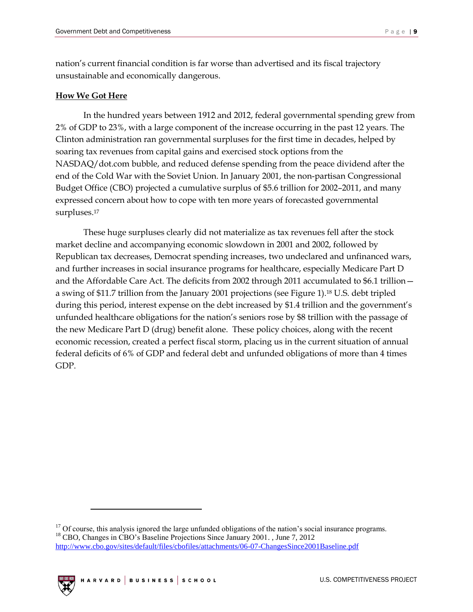nation's current financial condition is far worse than advertised and its fiscal trajectory unsustainable and economically dangerous.

#### **How We Got Here**

In the hundred years between 1912 and 2012, federal governmental spending grew from 2% of GDP to 23%, with a large component of the increase occurring in the past 12 years. The Clinton administration ran governmental surpluses for the first time in decades, helped by soaring tax revenues from capital gains and exercised stock options from the NASDAQ/dot.com bubble, and reduced defense spending from the peace dividend after the end of the Cold War with the Soviet Union. In January 2001, the non-partisan Congressional Budget Office (CBO) projected a cumulative surplus of \$5.6 trillion for 2002–2011, and many expressed concern about how to cope with ten more years of forecasted governmental surpluses.<sup>17</sup>

These huge surpluses clearly did not materialize as tax revenues fell after the stock market decline and accompanying economic slowdown in 2001 and 2002, followed by Republican tax decreases, Democrat spending increases, two undeclared and unfinanced wars, and further increases in social insurance programs for healthcare, especially Medicare Part D and the Affordable Care Act. The deficits from 2002 through 2011 accumulated to \$6.1 trillion a swing of \$11.7 trillion from the January 2001 projections (see Figure 1).<sup>18</sup> U.S. debt tripled during this period, interest expense on the debt increased by \$1.4 trillion and the government's unfunded healthcare obligations for the nation's seniors rose by \$8 trillion with the passage of the new Medicare Part D (drug) benefit alone. These policy choices, along with the recent economic recession, created a perfect fiscal storm, placing us in the current situation of annual federal deficits of 6% of GDP and federal debt and unfunded obligations of more than 4 times GDP.

<sup>&</sup>lt;sup>17</sup> Of course, this analysis ignored the large unfunded obligations of the nation's social insurance programs. <sup>18</sup> CBO, Changes in CBO's Baseline Projections Since January 2001., June 7, 2012 <http://www.cbo.gov/sites/default/files/cbofiles/attachments/06-07-ChangesSince2001Baseline.pdf>

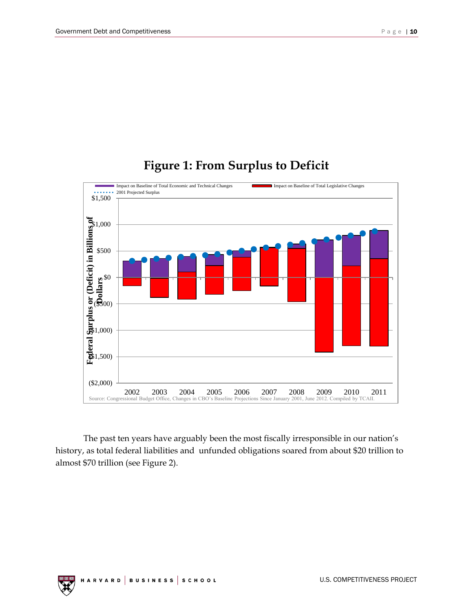# **Figure 1: From Surplus to Deficit**



The past ten years have arguably been the most fiscally irresponsible in our nation's history, as total federal liabilities and unfunded obligations soared from about \$20 trillion to almost \$70 trillion (see Figure 2).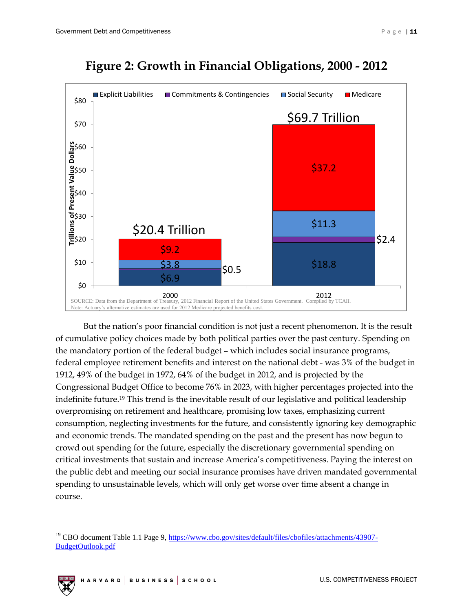

## **Figure 2: Growth in Financial Obligations, 2000 - 2012**

But the nation's poor financial condition is not just a recent phenomenon. It is the result of cumulative policy choices made by both political parties over the past century. Spending on the mandatory portion of the federal budget – which includes social insurance programs, federal employee retirement benefits and interest on the national debt - was 3% of the budget in 1912, 49% of the budget in 1972, 64% of the budget in 2012, and is projected by the Congressional Budget Office to become 76% in 2023, with higher percentages projected into the indefinite future.<sup>19</sup> This trend is the inevitable result of our legislative and political leadership overpromising on retirement and healthcare, promising low taxes, emphasizing current consumption, neglecting investments for the future, and consistently ignoring key demographic and economic trends. The mandated spending on the past and the present has now begun to crowd out spending for the future, especially the discretionary governmental spending on critical investments that sustain and increase America's competitiveness. Paying the interest on the public debt and meeting our social insurance promises have driven mandated governmental spending to unsustainable levels, which will only get worse over time absent a change in course.

<sup>&</sup>lt;sup>19</sup> CBO document Table 1.1 Page 9, [https://www.cbo.gov/sites/default/files/cbofiles/attachments/43907-](https://www.cbo.gov/sites/default/files/cbofiles/attachments/43907-BudgetOutlook.pdf) [BudgetOutlook.pdf](https://www.cbo.gov/sites/default/files/cbofiles/attachments/43907-BudgetOutlook.pdf)

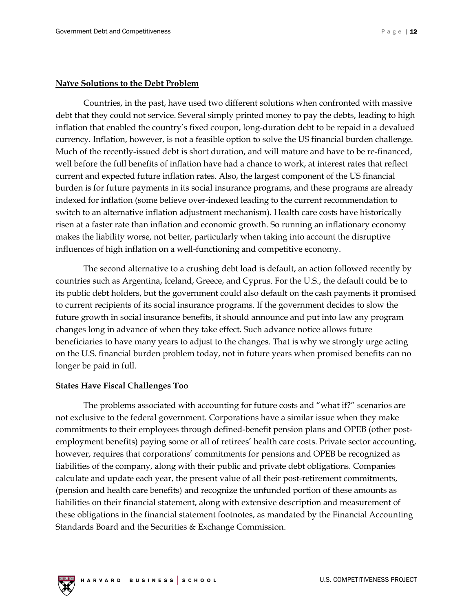#### **Naïve Solutions to the Debt Problem**

Countries, in the past, have used two different solutions when confronted with massive debt that they could not service. Several simply printed money to pay the debts, leading to high inflation that enabled the country's fixed coupon, long-duration debt to be repaid in a devalued currency. Inflation, however, is not a feasible option to solve the US financial burden challenge. Much of the recently-issued debt is short duration, and will mature and have to be re-financed, well before the full benefits of inflation have had a chance to work, at interest rates that reflect current and expected future inflation rates. Also, the largest component of the US financial burden is for future payments in its social insurance programs, and these programs are already indexed for inflation (some believe over-indexed leading to the current recommendation to switch to an alternative inflation adjustment mechanism). Health care costs have historically risen at a faster rate than inflation and economic growth. So running an inflationary economy makes the liability worse, not better, particularly when taking into account the disruptive influences of high inflation on a well-functioning and competitive economy.

The second alternative to a crushing debt load is default, an action followed recently by countries such as Argentina, Iceland, Greece, and Cyprus. For the U.S., the default could be to its public debt holders, but the government could also default on the cash payments it promised to current recipients of its social insurance programs. If the government decides to slow the future growth in social insurance benefits, it should announce and put into law any program changes long in advance of when they take effect. Such advance notice allows future beneficiaries to have many years to adjust to the changes. That is why we strongly urge acting on the U.S. financial burden problem today, not in future years when promised benefits can no longer be paid in full.

#### **States Have Fiscal Challenges Too**

The problems associated with accounting for future costs and "what if?" scenarios are not exclusive to the federal government. Corporations have a similar issue when they make commitments to their employees through defined-benefit pension plans and OPEB (other postemployment benefits) paying some or all of retirees' health care costs. Private sector accounting, however, requires that corporations' commitments for pensions and OPEB be recognized as liabilities of the company, along with their public and private debt obligations. Companies calculate and update each year, the present value of all their post-retirement commitments, (pension and health care benefits) and recognize the unfunded portion of these amounts as liabilities on their financial statement, along with extensive description and measurement of these obligations in the financial statement footnotes, as mandated by the Financial Accounting Standards Board and the Securities & Exchange Commission.

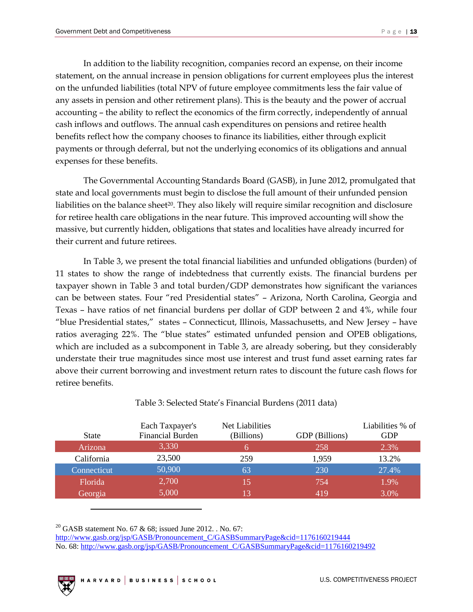In addition to the liability recognition, companies record an expense, on their income statement, on the annual increase in pension obligations for current employees plus the interest on the unfunded liabilities (total NPV of future employee commitments less the fair value of any assets in pension and other retirement plans). This is the beauty and the power of accrual accounting – the ability to reflect the economics of the firm correctly, independently of annual cash inflows and outflows. The annual cash expenditures on pensions and retiree health benefits reflect how the company chooses to finance its liabilities, either through explicit payments or through deferral, but not the underlying economics of its obligations and annual expenses for these benefits.

The Governmental Accounting Standards Board (GASB), in June 2012, promulgated that state and local governments must begin to disclose the full amount of their unfunded pension liabilities on the balance sheet<sup>20</sup>. They also likely will require similar recognition and disclosure for retiree health care obligations in the near future. This improved accounting will show the massive, but currently hidden, obligations that states and localities have already incurred for their current and future retirees.

In Table 3, we present the total financial liabilities and unfunded obligations (burden) of 11 states to show the range of indebtedness that currently exists. The financial burdens per taxpayer shown in Table 3 and total burden/GDP demonstrates how significant the variances can be between states. Four "red Presidential states" – Arizona, North Carolina, Georgia and Texas – have ratios of net financial burdens per dollar of GDP between 2 and 4%, while four "blue Presidential states," states – Connecticut, Illinois, Massachusetts, and New Jersey – have ratios averaging 22%. The "blue states" estimated unfunded pension and OPEB obligations, which are included as a subcomponent in Table 3, are already sobering, but they considerably understate their true magnitudes since most use interest and trust fund asset earning rates far above their current borrowing and investment return rates to discount the future cash flows for retiree benefits.

|              | Each Taxpayer's         | Net Liabilities |                | Liabilities % of |
|--------------|-------------------------|-----------------|----------------|------------------|
| <b>State</b> | <b>Financial Burden</b> | (Billions)      | GDP (Billions) | <b>GDP</b>       |
| Arizona      | 3,330                   |                 | 258            | 2.3%             |
| California   | 23,500                  | 259             | 1.959          | 13.2%            |
| Connecticut  | 50,900                  | 63              | 230            | 27.4%            |
| Florida      | 2,700                   | 15              | 754            | 1.9%             |
| Georgia      | 5,000                   |                 | 419            | 3.0%             |

#### Table 3: Selected State's Financial Burdens (2011 data)

<sup>20</sup> GASB statement No. 67 & 68; issued June 2012. . No. 67: [http://www.gasb.org/jsp/GASB/Pronouncement\\_C/GASBSummaryPage&cid=1176160219444](http://www.gasb.org/jsp/GASB/Pronouncement_C/GASBSummaryPage&cid=1176160219444) No. 68[: http://www.gasb.org/jsp/GASB/Pronouncement\\_C/GASBSummaryPage&cid=1176160219492](http://www.gasb.org/jsp/GASB/Pronouncement_C/GASBSummaryPage&cid=1176160219492)

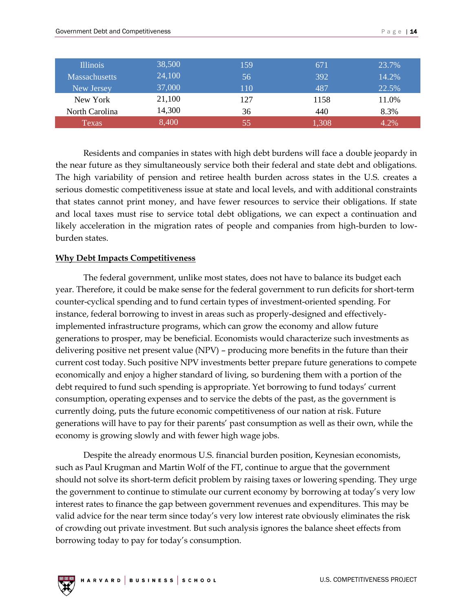| <b>Illinois</b>      | 38,500 | 159 | 671   | 23.7% |
|----------------------|--------|-----|-------|-------|
| <b>Massachusetts</b> | 24,100 | 56  | 392   | 14.2% |
| New Jersey           | 37,000 | 110 | 487   | 22.5% |
| New York             | 21,100 | 127 | 1158  | 11.0% |
| North Carolina       | 14,300 | 36  | 440   | 8.3%  |
| Texas                | 8,400  | 55  | 1.308 | 4.2%  |

Residents and companies in states with high debt burdens will face a double jeopardy in the near future as they simultaneously service both their federal and state debt and obligations. The high variability of pension and retiree health burden across states in the U.S. creates a serious domestic competitiveness issue at state and local levels, and with additional constraints that states cannot print money, and have fewer resources to service their obligations. If state and local taxes must rise to service total debt obligations, we can expect a continuation and likely acceleration in the migration rates of people and companies from high-burden to lowburden states.

#### **Why Debt Impacts Competitiveness**

The federal government, unlike most states, does not have to balance its budget each year. Therefore, it could be make sense for the federal government to run deficits for short-term counter-cyclical spending and to fund certain types of investment-oriented spending. For instance, federal borrowing to invest in areas such as properly-designed and effectivelyimplemented infrastructure programs, which can grow the economy and allow future generations to prosper, may be beneficial. Economists would characterize such investments as delivering positive net present value (NPV) – producing more benefits in the future than their current cost today. Such positive NPV investments better prepare future generations to compete economically and enjoy a higher standard of living, so burdening them with a portion of the debt required to fund such spending is appropriate. Yet borrowing to fund todays' current consumption, operating expenses and to service the debts of the past, as the government is currently doing, puts the future economic competitiveness of our nation at risk. Future generations will have to pay for their parents' past consumption as well as their own, while the economy is growing slowly and with fewer high wage jobs.

Despite the already enormous U.S. financial burden position, Keynesian economists, such as Paul Krugman and Martin Wolf of the FT, continue to argue that the government should not solve its short-term deficit problem by raising taxes or lowering spending. They urge the government to continue to stimulate our current economy by borrowing at today's very low interest rates to finance the gap between government revenues and expenditures. This may be valid advice for the near term since today's very low interest rate obviously eliminates the risk of crowding out private investment. But such analysis ignores the balance sheet effects from borrowing today to pay for today's consumption.

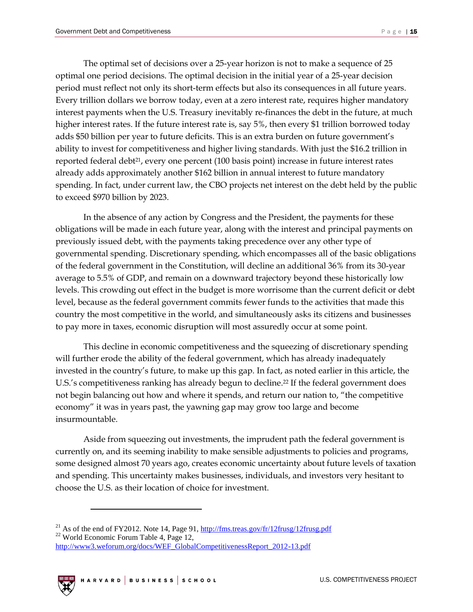The optimal set of decisions over a 25-year horizon is not to make a sequence of 25 optimal one period decisions. The optimal decision in the initial year of a 25-year decision period must reflect not only its short-term effects but also its consequences in all future years. Every trillion dollars we borrow today, even at a zero interest rate, requires higher mandatory interest payments when the U.S. Treasury inevitably re-finances the debt in the future, at much higher interest rates. If the future interest rate is, say 5%, then every \$1 trillion borrowed today adds \$50 billion per year to future deficits. This is an extra burden on future government's ability to invest for competitiveness and higher living standards. With just the \$16.2 trillion in reported federal debt $2^1$ , every one percent (100 basis point) increase in future interest rates already adds approximately another \$162 billion in annual interest to future mandatory spending. In fact, under current law, the CBO projects net interest on the debt held by the public to exceed \$970 billion by 2023.

In the absence of any action by Congress and the President, the payments for these obligations will be made in each future year, along with the interest and principal payments on previously issued debt, with the payments taking precedence over any other type of governmental spending. Discretionary spending, which encompasses all of the basic obligations of the federal government in the Constitution, will decline an additional 36% from its 30-year average to 5.5% of GDP, and remain on a downward trajectory beyond these historically low levels. This crowding out effect in the budget is more worrisome than the current deficit or debt level, because as the federal government commits fewer funds to the activities that made this country the most competitive in the world, and simultaneously asks its citizens and businesses to pay more in taxes, economic disruption will most assuredly occur at some point.

This decline in economic competitiveness and the squeezing of discretionary spending will further erode the ability of the federal government, which has already inadequately invested in the country's future, to make up this gap. In fact, as noted earlier in this article, the U.S.'s competitiveness ranking has already begun to decline.<sup>22</sup> If the federal government does not begin balancing out how and where it spends, and return our nation to, "the competitive economy" it was in years past, the yawning gap may grow too large and become insurmountable.

Aside from squeezing out investments, the imprudent path the federal government is currently on, and its seeming inability to make sensible adjustments to policies and programs, some designed almost 70 years ago, creates economic uncertainty about future levels of taxation and spending. This uncertainty makes businesses, individuals, and investors very hesitant to choose the U.S. as their location of choice for investment.

<sup>&</sup>lt;sup>21</sup> As of the end of FY2012. Note 14, Page 91,  $\frac{http://fms.treas.gov/fr/12frusg/12frusg.pdf}{http://fms.treas.gov/fr/12frusg/12frusg.pdf}$ <sup>22</sup> World Economic Forum Table 4, Page 12, [http://www3.weforum.org/docs/WEF\\_GlobalCompetitivenessReport\\_2012-13.pdf](http://www3.weforum.org/docs/WEF_GlobalCompetitivenessReport_2012-13.pdf)